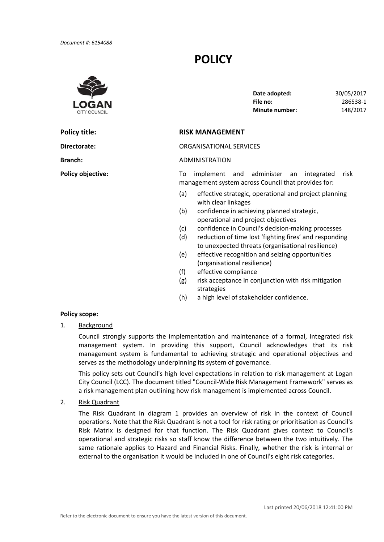# **POLICY**



**Policy title:** 

**Policy objective:** 

**File no: Minute number:** 148/2017 **Date adopted:** 30/05/2017 **File no:** 286538‐1

## **Policy title: RISK MANAGEMENT**

**Directorate:** ORGANISATIONAL SERVICES

### **Branch:** ADMINISTRATION

To implement and administer an integrated risk management system across Council that provides for:

- (a) effective strategic, operational and project planning with clear linkages
- (b) confidence in achieving planned strategic, operational and project objectives
- (c) confidence in Council's decision‐making processes
- (d) reduction of time lost 'fighting fires' and responding to unexpected threats (organisational resilience)
- (e) effective recognition and seizing opportunities (organisational resilience)
- (f) effective compliance
- (g) risk acceptance in conjunction with risk mitigation strategies
- (h) a high level of stakeholder confidence.

## **Policy scope:**

1. Background

Council strongly supports the implementation and maintenance of a formal, integrated risk management system. In providing this support, Council acknowledges that its risk management system is fundamental to achieving strategic and operational objectives and serves as the methodology underpinning its system of governance.

This policy sets out Council's high level expectations in relation to risk management at Logan City Council (LCC). The document titled "Council‐Wide Risk Management Framework" serves as a risk management plan outlining how risk management is implemented across Council.

2. Risk Quadrant

The Risk Quadrant in diagram 1 provides an overview of risk in the context of Council operations. Note that the Risk Quadrant is not a tool for risk rating or prioritisation as Council's Risk Matrix is designed for that function. The Risk Quadrant gives context to Council's operational and strategic risks so staff know the difference between the two intuitively. The same rationale applies to Hazard and Financial Risks. Finally, whether the risk is internal or external to the organisation it would be included in one of Council's eight risk categories.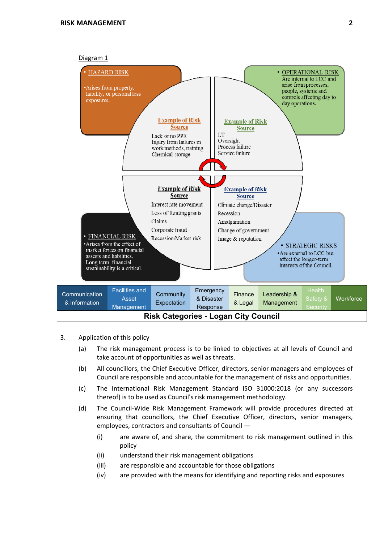

Interest rate movement

Loss of funding grants

Corporate fraud

Claims



Climate change/Disaster

Change of government

Recession

Amalgamation

- 3. Application of this policy
	- (a) The risk management process is to be linked to objectives at all levels of Council and take account of opportunities as well as threats.
	- (b) All councillors, the Chief Executive Officer, directors, senior managers and employees of Council are responsible and accountable for the management of risks and opportunities.
	- (c) The International Risk Management Standard ISO 31000:2018 (or any successors thereof) is to be used as Council's risk management methodology.
	- (d) The Council‐Wide Risk Management Framework will provide procedures directed at ensuring that councillors, the Chief Executive Officer, directors, senior managers, employees, contractors and consultants of Council —
		- (i) are aware of, and share, the commitment to risk management outlined in this policy
		- (ii) understand their risk management obligations
		- (iii) are responsible and accountable for those obligations
		- (iv) are provided with the means for identifying and reporting risks and exposures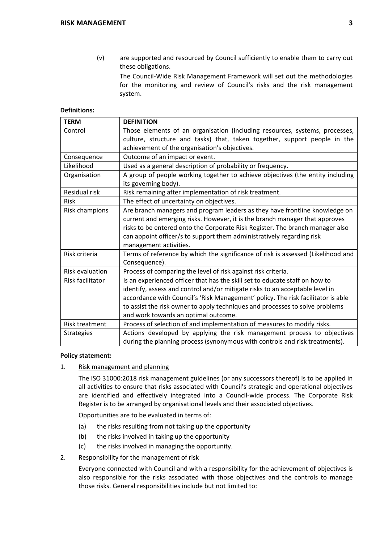(v) are supported and resourced by Council sufficiently to enable them to carry out these obligations.

The Council‐Wide Risk Management Framework will set out the methodologies for the monitoring and review of Council's risks and the risk management system.

## **Definitions:**

| <b>TERM</b>            | <b>DEFINITION</b>                                                                |  |  |
|------------------------|----------------------------------------------------------------------------------|--|--|
| Control                | Those elements of an organisation (including resources, systems, processes,      |  |  |
|                        | culture, structure and tasks) that, taken together, support people in the        |  |  |
|                        | achievement of the organisation's objectives.                                    |  |  |
| Consequence            | Outcome of an impact or event.                                                   |  |  |
| Likelihood             | Used as a general description of probability or frequency.                       |  |  |
| Organisation           | A group of people working together to achieve objectives (the entity including   |  |  |
|                        | its governing body).                                                             |  |  |
| Residual risk          | Risk remaining after implementation of risk treatment.                           |  |  |
| <b>Risk</b>            | The effect of uncertainty on objectives.                                         |  |  |
| Risk champions         | Are branch managers and program leaders as they have frontline knowledge on      |  |  |
|                        | current and emerging risks. However, it is the branch manager that approves      |  |  |
|                        | risks to be entered onto the Corporate Risk Register. The branch manager also    |  |  |
|                        | can appoint officer/s to support them administratively regarding risk            |  |  |
|                        | management activities.                                                           |  |  |
| Risk criteria          | Terms of reference by which the significance of risk is assessed (Likelihood and |  |  |
|                        | Consequence).                                                                    |  |  |
| <b>Risk evaluation</b> | Process of comparing the level of risk against risk criteria.                    |  |  |
| Risk facilitator       | Is an experienced officer that has the skill set to educate staff on how to      |  |  |
|                        | identify, assess and control and/or mitigate risks to an acceptable level in     |  |  |
|                        | accordance with Council's 'Risk Management' policy. The risk facilitator is able |  |  |
|                        | to assist the risk owner to apply techniques and processes to solve problems     |  |  |
|                        | and work towards an optimal outcome.                                             |  |  |
| Risk treatment         | Process of selection of and implementation of measures to modify risks.          |  |  |
| <b>Strategies</b>      | Actions developed by applying the risk management process to objectives          |  |  |
|                        | during the planning process (synonymous with controls and risk treatments).      |  |  |

## **Policy statement:**

1. Risk management and planning

The ISO 31000:2018 risk management guidelines (or any successors thereof) is to be applied in all activities to ensure that risks associated with Council's strategic and operational objectives are identified and effectively integrated into a Council-wide process. The Corporate Risk Register is to be arranged by organisational levels and their associated objectives.

Opportunities are to be evaluated in terms of:

- (a) the risks resulting from not taking up the opportunity
- (b) the risks involved in taking up the opportunity
- (c) the risks involved in managing the opportunity.
- 2. Responsibility for the management of risk

Everyone connected with Council and with a responsibility for the achievement of objectives is also responsible for the risks associated with those objectives and the controls to manage those risks. General responsibilities include but not limited to: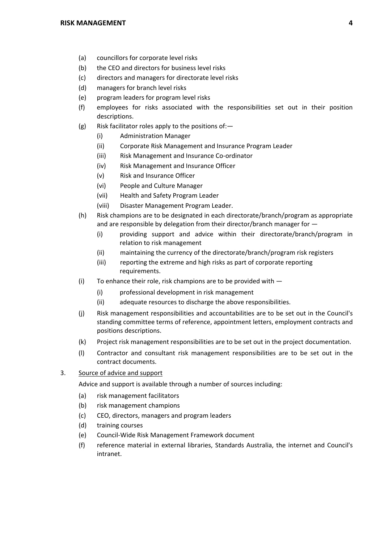- (a) councillors for corporate level risks
- (b) the CEO and directors for business level risks
- (c) directors and managers for directorate level risks
- (d) managers for branch level risks
- (e) program leaders for program level risks
- (f) employees for risks associated with the responsibilities set out in their position descriptions.
- (g) Risk facilitator roles apply to the positions of:—
	- (i) Administration Manager
	- (ii) Corporate Risk Management and Insurance Program Leader
	- (iii) Risk Management and Insurance Co‐ordinator
	- (iv) Risk Management and Insurance Officer
	- (v) Risk and Insurance Officer
	- (vi) People and Culture Manager
	- (vii) Health and Safety Program Leader
	- (viii) Disaster Management Program Leader.
- (h) Risk champions are to be designated in each directorate/branch/program as appropriate and are responsible by delegation from their director/branch manager for —
	- (i) providing support and advice within their directorate/branch/program in relation to risk management
	- (ii) maintaining the currency of the directorate/branch/program risk registers
	- (iii) reporting the extreme and high risks as part of corporate reporting requirements.
- (i) To enhance their role, risk champions are to be provided with  $-$ 
	- (i) professional development in risk management
	- (ii) adequate resources to discharge the above responsibilities.
- (j) Risk management responsibilities and accountabilities are to be set out in the Council's standing committee terms of reference, appointment letters, employment contracts and positions descriptions.
- (k) Project risk management responsibilities are to be set out in the project documentation.
- (l) Contractor and consultant risk management responsibilities are to be set out in the contract documents.
- 3. Source of advice and support

Advice and support is available through a number of sources including:

- (a) risk management facilitators
- (b) risk management champions
- (c) CEO, directors, managers and program leaders
- (d) training courses
- (e) Council‐Wide Risk Management Framework document
- (f) reference material in external libraries, Standards Australia, the internet and Council's intranet.